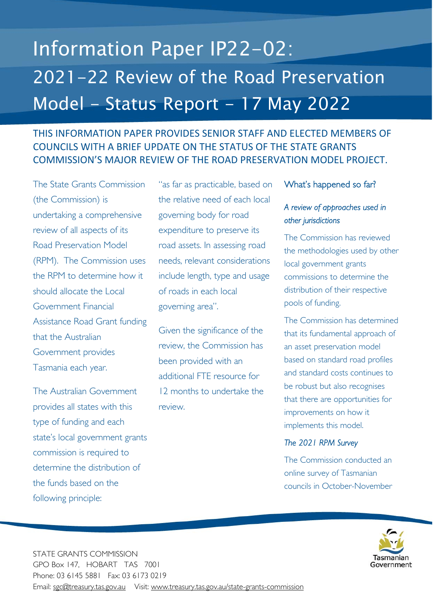# Information Paper IP22-02: 2021-22 Review of the Road Preservation Model - Status Report - 17 May 2022

# THIS INFORMATION PAPER PROVIDES SENIOR STAFF AND ELECTED MEMBERS OF COUNCILS WITH A BRIEF UPDATE ON THE STATUS OF THE STATE GRANTS COMMISSION'S MAJOR REVIEW OF THE ROAD PRESERVATION MODEL PROJECT.

The State Grants Commission (the Commission) is undertaking a comprehensive review of all aspects of its Road Preservation Model (RPM). The Commission uses the RPM to determine how it should allocate the Local Government Financial Assistance Road Grant funding that the Australian Government provides Tasmania each year.

The Australian Government provides all states with this type of funding and each state's local government grants commission is required to determine the distribution of the funds based on the following principle:

"as far as practicable, based on the relative need of each local governing body for road expenditure to preserve its road assets. In assessing road needs, relevant considerations include length, type and usage of roads in each local governing area".

Given the significance of the review, the Commission has been provided with an additional FTE resource for 12 months to undertake the review.

#### What's happened so far?

## *A review of approaches used in other jurisdictions*

The Commission has reviewed the methodologies used by other local government grants commissions to determine the distribution of their respective pools of funding.

The Commission has determined that its fundamental approach of an asset preservation model based on standard road profiles and standard costs continues to be robust but also recognises that there are opportunities for improvements on how it implements this model.

#### *The 2021 RPM Survey*

The Commission conducted an online survey of Tasmanian councils in October-November



STATE GRANTS COMMISSION GPO Box 147, HOBART TAS 7001 Phone: 03 6145 5881 Fax: 03 6173 0219 Email: sgc@treasury.tas.gov.au Visit: www.treasury.tas.gov.au/state-grants-commission